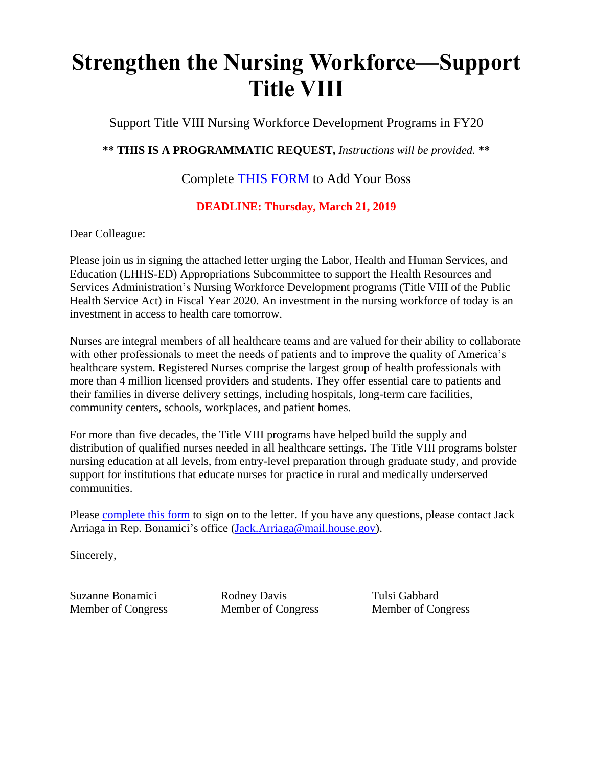## **Strengthen the Nursing Workforce—Support Title VIII**

Support Title VIII Nursing Workforce Development Programs in FY20

**\*\* THIS IS A PROGRAMMATIC REQUEST,** *Instructions will be provided.* **\*\***

Complete THIS [FORM](https://goo.gl/forms/Ttz1V1GfipGfFp9i2) to Add Your Boss

## **DEADLINE: Thursday, March 21, 2019**

Dear Colleague:

Please join us in signing the attached letter urging the Labor, Health and Human Services, and Education (LHHS-ED) Appropriations Subcommittee to support the Health Resources and Services Administration's Nursing Workforce Development programs (Title VIII of the Public Health Service Act) in Fiscal Year 2020. An investment in the nursing workforce of today is an investment in access to health care tomorrow.

Nurses are integral members of all healthcare teams and are valued for their ability to collaborate with other professionals to meet the needs of patients and to improve the quality of America's healthcare system. Registered Nurses comprise the largest group of health professionals with more than 4 million licensed providers and students. They offer essential care to patients and their families in diverse delivery settings, including hospitals, long-term care facilities, community centers, schools, workplaces, and patient homes.

For more than five decades, the Title VIII programs have helped build the supply and distribution of qualified nurses needed in all healthcare settings. The Title VIII programs bolster nursing education at all levels, from entry-level preparation through graduate study, and provide support for institutions that educate nurses for practice in rural and medically underserved communities.

Please [complete this form](https://goo.gl/forms/Ttz1V1GfipGfFp9i2) to sign on to the letter. If you have any questions, please contact Jack Arriaga in Rep. Bonamici's office [\(Jack.Arriaga@mail.house.gov\)](mailto:Jack.Arriaga@mail.house.gov).

Sincerely,

Suzanne Bonamici Member of Congress

Rodney Davis Member of Congress Tulsi Gabbard Member of Congress